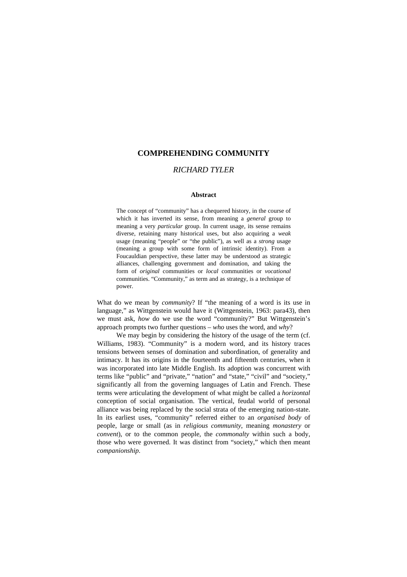## **COMPREHENDING COMMUNITY**

## *RICHARD TYLER*

## **Abstract**

The concept of "community" has a chequered history, in the course of which it has inverted its sense, from meaning a *general* group to meaning a very *particular* group. In current usage, its sense remains diverse, retaining many historical uses, but also acquiring a *weak* usage (meaning "people" or "the public"), as well as a *strong* usage (meaning a group with some form of intrinsic identity). From a Foucauldian perspective, these latter may be understood as strategic alliances, challenging government and domination, and taking the form of *original* communities or *local* communities or *vocational* communities. "Community," as term and as strategy, is a technique of power.

What do we mean by *community*? If "the meaning of a word is its use in language," as Wittgenstein would have it (Wittgenstein, 1963: para43), then we must ask, *how* do we use the word "community?" But Wittgenstein's approach prompts two further questions – *who* uses the word, and *why*?

We may begin by considering the history of the usage of the term (cf. Williams, 1983). "Community" is a modern word, and its history traces tensions between senses of domination and subordination, of generality and intimacy. It has its origins in the fourteenth and fifteenth centuries, when it was incorporated into late Middle English. Its adoption was concurrent with terms like "public" and "private," "nation" and "state," "civil" and "society," significantly all from the governing languages of Latin and French. These terms were articulating the development of what might be called a *horizontal* conception of social organisation. The vertical, feudal world of personal alliance was being replaced by the social strata of the emerging nation-state. In its earliest uses, "community" referred either to an *organised body* of people, large or small (as in *religious community*, meaning *monastery* or *convent*), or to the common people, the *commonalty* within such a body, those who were governed. It was distinct from "society," which then meant *companionship*.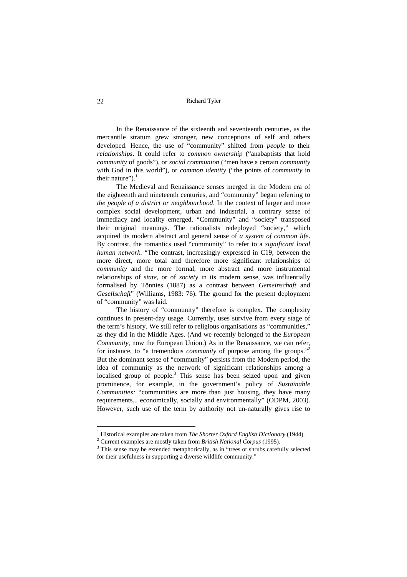22 Richard Tyler

In the Renaissance of the sixteenth and seventeenth centuries, as the mercantile stratum grew stronger, new conceptions of self and others developed. Hence, the use of "community" shifted from *people* to their *relationships*. It could refer to *common ownership* ("anabaptists that hold *community* of goods"), or *social communion* ("men have a certain *community* with God in this world"), or *common identity* ("the points of *community* in their nature" $)$ .<sup>1</sup>

The Medieval and Renaissance senses merged in the Modern era of the eighteenth and nineteenth centuries, and "community" began referring to *the people of a district or neighbourhood*. In the context of larger and more complex social development, urban and industrial, a contrary sense of immediacy and locality emerged. "Community" and "society" transposed their original meanings. The rationalists redeployed "society," which acquired its modern abstract and general sense of *a system of common life*. By contrast, the romantics used "community" to refer to a *significant local human network*. "The contrast, increasingly expressed in C19, between the more direct, more total and therefore more significant relationships of *community* and the more formal, more abstract and more instrumental relationships of *state*, or of *society* in its modern sense, was influentially formalised by Tönnies (1887) as a contrast between *Gemeinschaft* and *Gesellschaft*" (Williams, 1983: 76). The ground for the present deployment of "community" was laid.

The history of "community" therefore is complex. The complexity continues in present-day usage. Currently, uses survive from every stage of the term's history. We still refer to religious organisations as "communities," as they did in the Middle Ages. (And we recently belonged to the *European Community*, now the European Union.) As in the Renaissance, we can refer, for instance, to "a tremendous *community* of purpose among the groups."2 But the dominant sense of "community" persists from the Modern period, the idea of community as the network of significant relationships among a localised group of people.<sup>3</sup> This sense has been seized upon and given prominence, for example, in the government's policy of *Sustainable Communities:* "communities are more than just housing, they have many requirements... economically, socially and environmentally" (ODPM, 2003). However, such use of the term by authority not un-naturally gives rise to

<sup>&</sup>lt;sup>1</sup> Historical examples are taken from *The Shorter Oxford English Dictionary* (1944).

<sup>2</sup> Current examples are mostly taken from *British National Corpus* (1995).

 $3$  This sense may be extended metaphorically, as in "trees or shrubs carefully selected for their usefulness in supporting a diverse wildlife community."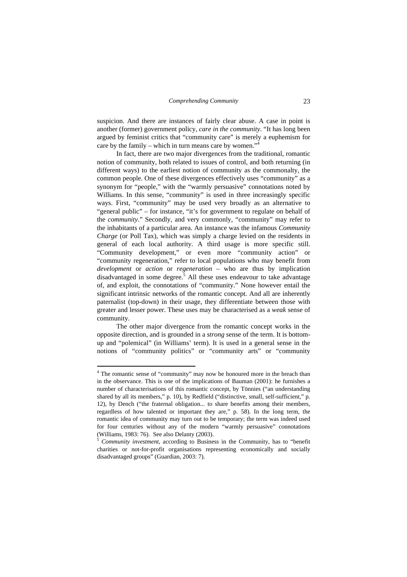suspicion. And there are instances of fairly clear abuse. A case in point is another (former) government policy, *care in the community*. "It has long been argued by feminist critics that "community care" is merely a euphemism for care by the family – which in turn means care by women."4

In fact, there are two major divergences from the traditional, romantic notion of community, both related to issues of control, and both returning (in different ways) to the earliest notion of community as the commonalty, the common people. One of these divergences effectively uses "community" as a synonym for "people," with the "warmly persuasive" connotations noted by Williams. In this sense, "community" is used in three increasingly specific ways. First, "community" may be used very broadly as an alternative to "general public" – for instance, "it's for government to regulate on behalf of the *community*." Secondly, and very commonly, "community" may refer to the inhabitants of a particular area. An instance was the infamous *Community Charge* (or Poll Tax), which was simply a charge levied on the residents in general of each local authority. A third usage is more specific still. "Community development," or even more "community action" or "community regeneration," refer to local populations who may benefit from *development* or *action* or *regeneration* – who are thus by implication disadvantaged in some degree. $\frac{5}{9}$  All these uses endeavour to take advantage of, and exploit, the connotations of "community." None however entail the significant intrinsic networks of the romantic concept. And all are inherently paternalist (top-down) in their usage, they differentiate between those with greater and lesser power. These uses may be characterised as a *weak* sense of community.

The other major divergence from the romantic concept works in the opposite direction, and is grounded in a *strong* sense of the term. It is bottomup and "polemical" (in Williams' term). It is used in a general sense in the notions of "community politics" or "community arts" or "community

<sup>&</sup>lt;sup>4</sup> The romantic sense of "community" may now be honoured more in the breach than in the observance. This is one of the implications of Bauman (2001): he furnishes a number of characterisations of this romantic concept, by Tönnies ("an understanding shared by all its members," p. 10), by Redfield ("distinctive, small, self-sufficient," p. 12), by Dench ("the fraternal obligation... to share benefits among their members, regardless of how talented or important they are," p. 58). In the long term, the romantic idea of community may turn out to be temporary; the term was indeed used for four centuries without any of the modern "warmly persuasive" connotations (Williams, 1983: 76). See also Delanty (2003).

<sup>5</sup> *Community investment*, according to Business in the Community, has to "benefit charities or not-for-profit organisations representing economically and socially disadvantaged groups" (Guardian, 2003: 7).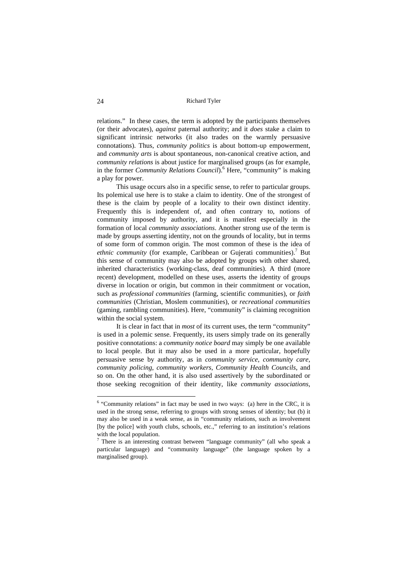relations." In these cases, the term is adopted by the participants themselves (or their advocates), *against* paternal authority; and it *does* stake a claim to significant intrinsic networks (it also trades on the warmly persuasive connotations). Thus, *community politics* is about bottom-up empowerment, and *community arts* is about spontaneous, non-canonical creative action, and *community relations* is about justice for marginalised groups (as for example, in the former *Community Relations Council*).6 Here, "community" is making a play for power.

This usage occurs also in a specific sense, to refer to particular groups. Its polemical use here is to stake a claim to identity. One of the strongest of these is the claim by people of a locality to their own distinct identity. Frequently this is independent of, and often contrary to, notions of community imposed by authority, and it is manifest especially in the formation of local *community associations*. Another strong use of the term is made by groups asserting identity, not on the grounds of locality, but in terms of some form of common origin. The most common of these is the idea of ethnic community (for example, Caribbean or Gujerati communities).<sup>7</sup> But this sense of community may also be adopted by groups with other shared, inherited characteristics (working-class, deaf communities). A third (more recent) development, modelled on these uses, asserts the identity of groups diverse in location or origin, but common in their commitment or vocation, such as *professional communities* (farming, scientific communities), or *faith communities* (Christian, Moslem communities), or *recreational communities* (gaming, rambling communities). Here, "community" is claiming recognition within the social system.

It is clear in fact that in *most* of its current uses, the term "community" is used in a polemic sense. Frequently, its users simply trade on its generally positive connotations: a *community notice board* may simply be one available to local people. But it may also be used in a more particular, hopefully persuasive sense by authority, as in *community service*, *community care*, *community policing*, *community workers*, *Community Health Councils*, and so on. On the other hand, it is also used assertively by the subordinated or those seeking recognition of their identity, like *community associations*,

 $6$  "Community relations" in fact may be used in two ways: (a) here in the CRC, it is used in the strong sense, referring to groups with strong senses of identity; but (b) it may also be used in a weak sense, as in "community relations, such as involvement [by the police] with youth clubs, schools, etc.," referring to an institution's relations with the local population.

<sup>&</sup>lt;sup>7</sup> There is an interesting contrast between "language community" (all who speak a particular language) and "community language" (the language spoken by a marginalised group).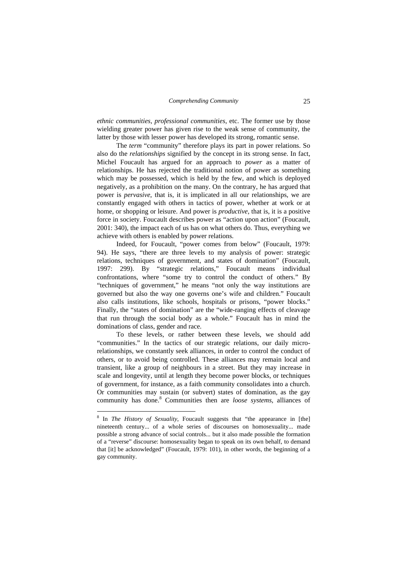*ethnic communities*, *professional communities*, etc. The former use by those wielding greater power has given rise to the weak sense of community, the latter by those with lesser power has developed its strong, romantic sense.

The *term* "community" therefore plays its part in power relations. So also do the *relationships* signified by the concept in its strong sense. In fact, Michel Foucault has argued for an approach to *power* as a matter of relationships. He has rejected the traditional notion of power as something which may be possessed, which is held by the few, and which is deployed negatively, as a prohibition on the many. On the contrary, he has argued that power is *pervasive*, that is, it is implicated in all our relationships, we are constantly engaged with others in tactics of power, whether at work or at home, or shopping or leisure. And power is *productive*, that is, it is a positive force in society. Foucault describes power as "action upon action" (Foucault, 2001: 340), the impact each of us has on what others do. Thus, everything we achieve with others is enabled by power relations.

Indeed, for Foucault, "power comes from below" (Foucault, 1979: 94). He says, "there are three levels to my analysis of power: strategic relations, techniques of government, and states of domination" (Foucault, 1997: 299). By "strategic relations," Foucault means individual confrontations, where "some try to control the conduct of others." By "techniques of government," he means "not only the way institutions are governed but also the way one governs one's wife and children." Foucault also calls institutions, like schools, hospitals or prisons, "power blocks." Finally, the "states of domination" are the "wide-ranging effects of cleavage that run through the social body as a whole." Foucault has in mind the dominations of class, gender and race.

To these levels, or rather between these levels, we should add "communities." In the tactics of our strategic relations, our daily microrelationships, we constantly seek alliances, in order to control the conduct of others, or to avoid being controlled. These alliances may remain local and transient, like a group of neighbours in a street. But they may increase in scale and longevity, until at length they become power blocks, or techniques of government, for instance, as a faith community consolidates into a church. Or communities may sustain (or subvert) states of domination, as the gay community has done.<sup>8</sup> Communities then are *loose systems*, alliances of

<sup>8</sup> In *The History of Sexuality*, Foucault suggests that "the appearance in [the] nineteenth century... of a whole series of discourses on homosexuality... made possible a strong advance of social controls... but it also made possible the formation of a "reverse" discourse: homosexuality began to speak on its own behalf, to demand that [it] be acknowledged" (Foucault, 1979: 101), in other words, the beginning of a gay community.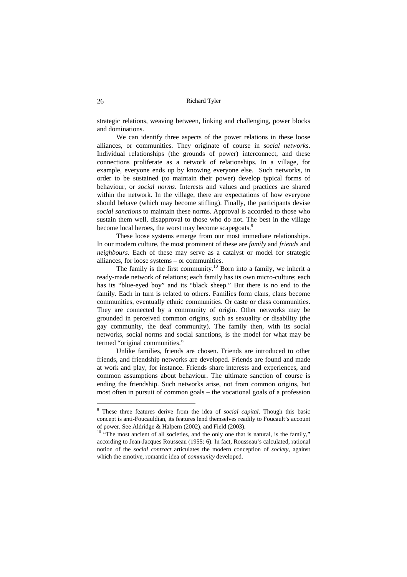strategic relations, weaving between, linking and challenging, power blocks and dominations.

We can identify three aspects of the power relations in these loose alliances, or communities. They originate of course in *social networks*. Individual relationships (the grounds of power) interconnect, and these connections proliferate as a network of relationships. In a village, for example, everyone ends up by knowing everyone else. Such networks, in order to be sustained (to maintain their power) develop typical forms of behaviour, or *social norms*. Interests and values and practices are shared within the network. In the village, there are expectations of how everyone should behave (which may become stifling). Finally, the participants devise *social sanctions* to maintain these norms. Approval is accorded to those who sustain them well, disapproval to those who do not. The best in the village become local heroes, the worst may become scapegoats.<sup>9</sup>

These loose systems emerge from our most immediate relationships. In our modern culture, the most prominent of these are *family* and *friends* and *neighbours*. Each of these may serve as a catalyst or model for strategic alliances, for loose systems – or communities.

The family is the first community.<sup>10</sup> Born into a family, we inherit a ready-made network of relations; each family has its own micro-culture; each has its "blue-eyed boy" and its "black sheep." But there is no end to the family. Each in turn is related to others. Families form clans, clans become communities, eventually ethnic communities. Or caste or class communities. They are connected by a community of origin. Other networks may be grounded in perceived common origins, such as sexuality or disability (the gay community, the deaf community). The family then, with its social networks, social norms and social sanctions, is the model for what may be termed "original communities."

Unlike families, friends are chosen. Friends are introduced to other friends, and friendship networks are developed. Friends are found and made at work and play, for instance. Friends share interests and experiences, and common assumptions about behaviour. The ultimate sanction of course is ending the friendship. Such networks arise, not from common origins, but most often in pursuit of common goals – the vocational goals of a profession

<sup>9</sup> These three features derive from the idea of *social capital*. Though this basic concept is anti-Foucauldian, its features lend themselves readily to Foucault's account of power. See Aldridge & Halpern (2002), and Field (2003).

 $10$  "The most ancient of all societies, and the only one that is natural, is the family," according to Jean-Jacques Rousseau (1955: 6). In fact, Rousseau's calculated, rational notion of the *social contract* articulates the modern conception of *society*, against which the emotive, romantic idea of *community* developed.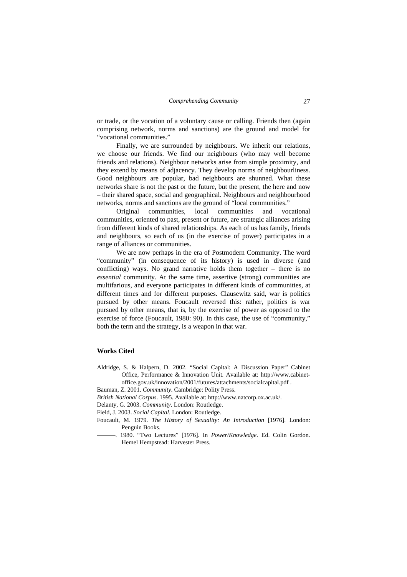or trade, or the vocation of a voluntary cause or calling. Friends then (again comprising network, norms and sanctions) are the ground and model for "vocational communities."

Finally, we are surrounded by neighbours. We inherit our relations, we choose our friends. We find our neighbours (who may well become friends and relations). Neighbour networks arise from simple proximity, and they extend by means of adjacency. They develop norms of neighbourliness. Good neighbours are popular, bad neighbours are shunned. What these networks share is not the past or the future, but the present, the here and now – their shared space, social and geographical. Neighbours and neighbourhood networks, norms and sanctions are the ground of "local communities."

Original communities, local communities and vocational communities, oriented to past, present or future, are strategic alliances arising from different kinds of shared relationships. As each of us has family, friends and neighbours, so each of us (in the exercise of power) participates in a range of alliances or communities.

We are now perhaps in the era of Postmodern Community. The word "community" (in consequence of its history) is used in diverse (and conflicting) ways. No grand narrative holds them together – there is no *essential* community. At the same time, assertive (strong) communities are multifarious, and everyone participates in different kinds of communities, at different times and for different purposes. Clausewitz said, war is politics pursued by other means. Foucault reversed this: rather, politics is war pursued by other means, that is, by the exercise of power as opposed to the exercise of force (Foucault, 1980: 90). In this case, the use of "community," both the term and the strategy, is a weapon in that war.

## **Works Cited**

- Aldridge, S. & Halpern, D. 2002. "Social Capital: A Discussion Paper" Cabinet Office, Performance & Innovation Unit. Available at: http://www.cabinetoffice.gov.uk/innovation/2001/futures/attachments/socialcapital.pdf .
- Bauman, Z. 2001. *Community*. Cambridge: Polity Press.
- *British National Corpus*. 1995. Available at: http://www.natcorp.ox.ac.uk/.
- Delanty, G. 2003. *Community*. London: Routledge.
- Field, J. 2003. *Social Capital*. London: Routledge.
- Foucault, M. 1979. *The History of Sexuality: An Introduction* [1976]. London: Penguin Books.
- ———. 1980. "Two Lectures" [1976]. In *Power/Knowledge*. Ed. Colin Gordon. Hemel Hempstead: Harvester Press.